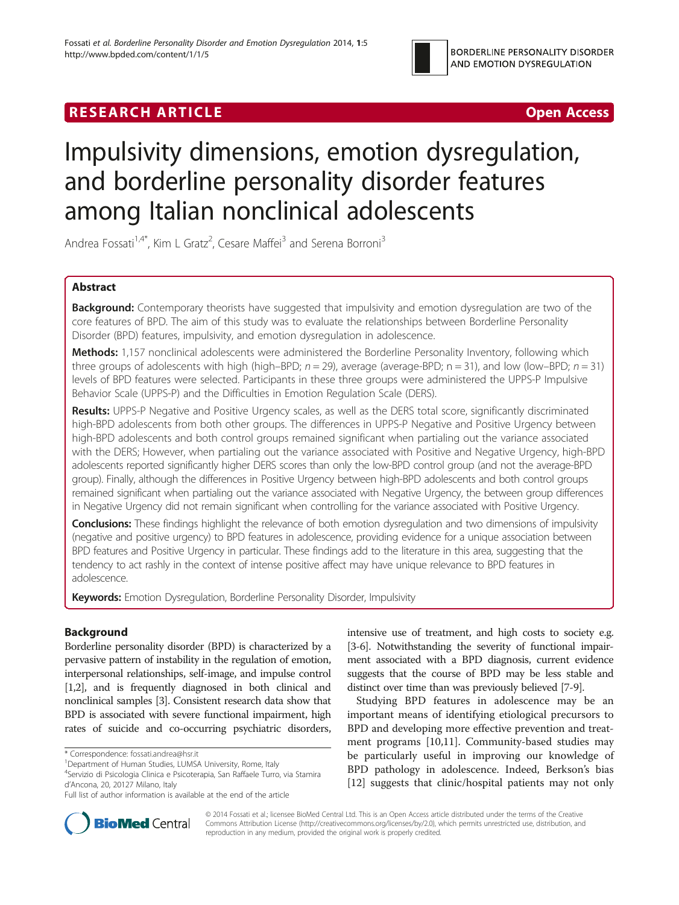## **RESEARCH ARTICLE EXECUTE: CONSIDERING ACCESS**

# Impulsivity dimensions, emotion dysregulation, and borderline personality disorder features among Italian nonclinical adolescents

Andrea Fossati<sup>1,4\*</sup>, Kim L Gratz<sup>2</sup>, Cesare Maffei<sup>3</sup> and Serena Borroni<sup>3</sup>

## Abstract

Background: Contemporary theorists have suggested that impulsivity and emotion dysregulation are two of the core features of BPD. The aim of this study was to evaluate the relationships between Borderline Personality Disorder (BPD) features, impulsivity, and emotion dysregulation in adolescence.

Methods: 1,157 nonclinical adolescents were administered the Borderline Personality Inventory, following which three groups of adolescents with high (high–BPD;  $n = 29$ ), average (average-BPD;  $n = 31$ ), and low (low–BPD;  $n = 31$ ) levels of BPD features were selected. Participants in these three groups were administered the UPPS-P Impulsive Behavior Scale (UPPS-P) and the Difficulties in Emotion Regulation Scale (DERS).

Results: UPPS-P Negative and Positive Urgency scales, as well as the DERS total score, significantly discriminated high-BPD adolescents from both other groups. The differences in UPPS-P Negative and Positive Urgency between high-BPD adolescents and both control groups remained significant when partialing out the variance associated with the DERS; However, when partialing out the variance associated with Positive and Negative Urgency, high-BPD adolescents reported significantly higher DERS scores than only the low-BPD control group (and not the average-BPD group). Finally, although the differences in Positive Urgency between high-BPD adolescents and both control groups remained significant when partialing out the variance associated with Negative Urgency, the between group differences in Negative Urgency did not remain significant when controlling for the variance associated with Positive Urgency.

Conclusions: These findings highlight the relevance of both emotion dysregulation and two dimensions of impulsivity (negative and positive urgency) to BPD features in adolescence, providing evidence for a unique association between BPD features and Positive Urgency in particular. These findings add to the literature in this area, suggesting that the tendency to act rashly in the context of intense positive affect may have unique relevance to BPD features in adolescence.

Keywords: Emotion Dysregulation, Borderline Personality Disorder, Impulsivity

## Background

Borderline personality disorder (BPD) is characterized by a pervasive pattern of instability in the regulation of emotion, interpersonal relationships, self-image, and impulse control [[1,2](#page-9-0)], and is frequently diagnosed in both clinical and nonclinical samples [\[3](#page-9-0)]. Consistent research data show that BPD is associated with severe functional impairment, high rates of suicide and co-occurring psychiatric disorders,

intensive use of treatment, and high costs to society e.g. [[3-6\]](#page-9-0). Notwithstanding the severity of functional impairment associated with a BPD diagnosis, current evidence suggests that the course of BPD may be less stable and distinct over time than was previously believed [\[7-9\]](#page-9-0).

Studying BPD features in adolescence may be an important means of identifying etiological precursors to BPD and developing more effective prevention and treatment programs [[10,11\]](#page-9-0). Community-based studies may be particularly useful in improving our knowledge of BPD pathology in adolescence. Indeed, Berkson's bias [[12\]](#page-9-0) suggests that clinic/hospital patients may not only



© 2014 Fossati et al.; licensee BioMed Central Ltd. This is an Open Access article distributed under the terms of the Creative Commons Attribution License [\(http://creativecommons.org/licenses/by/2.0\)](http://creativecommons.org/licenses/by/2.0), which permits unrestricted use, distribution, and reproduction in any medium, provided the original work is properly credited.

<sup>\*</sup> Correspondence: [fossati.andrea@hsr.it](mailto:fossati.andrea@hsr.it) <sup>1</sup>

<sup>&</sup>lt;sup>1</sup>Department of Human Studies, LUMSA University, Rome, Italy

<sup>4</sup> Servizio di Psicologia Clinica e Psicoterapia, San Raffaele Turro, via Stamira d'Ancona, 20, 20127 Milano, Italy

Full list of author information is available at the end of the article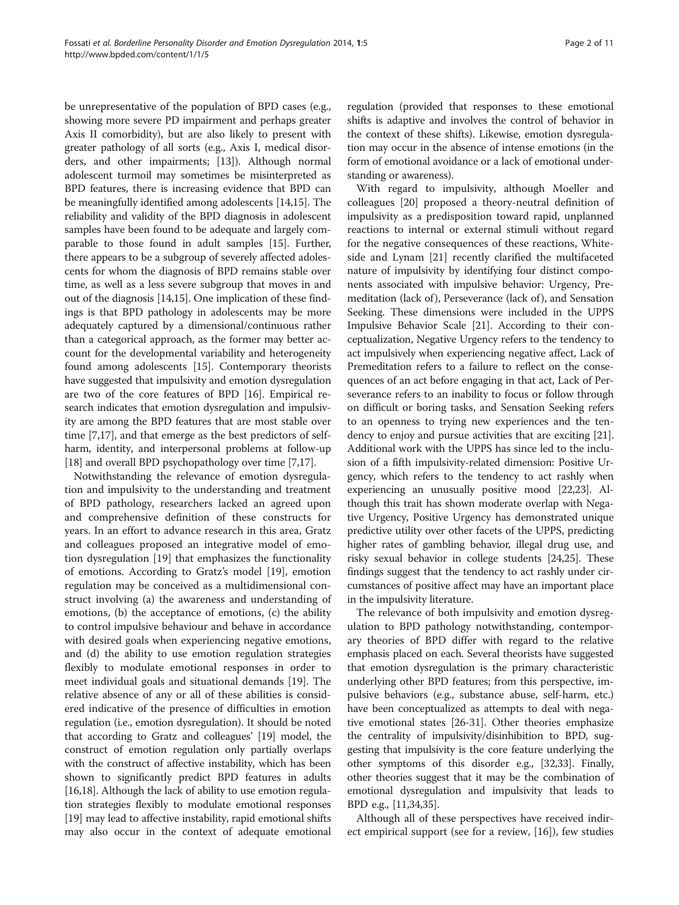be unrepresentative of the population of BPD cases (e.g., showing more severe PD impairment and perhaps greater Axis II comorbidity), but are also likely to present with greater pathology of all sorts (e.g., Axis I, medical disorders, and other impairments; [\[13\]](#page-9-0)). Although normal adolescent turmoil may sometimes be misinterpreted as BPD features, there is increasing evidence that BPD can be meaningfully identified among adolescents [\[14,15\]](#page-9-0). The reliability and validity of the BPD diagnosis in adolescent samples have been found to be adequate and largely comparable to those found in adult samples [\[15\]](#page-9-0). Further, there appears to be a subgroup of severely affected adolescents for whom the diagnosis of BPD remains stable over time, as well as a less severe subgroup that moves in and out of the diagnosis [[14](#page-9-0),[15](#page-9-0)]. One implication of these findings is that BPD pathology in adolescents may be more adequately captured by a dimensional/continuous rather than a categorical approach, as the former may better account for the developmental variability and heterogeneity found among adolescents [\[15](#page-9-0)]. Contemporary theorists have suggested that impulsivity and emotion dysregulation are two of the core features of BPD [\[16\]](#page-9-0). Empirical research indicates that emotion dysregulation and impulsivity are among the BPD features that are most stable over time [[7](#page-9-0),[17](#page-9-0)], and that emerge as the best predictors of selfharm, identity, and interpersonal problems at follow-up [[18](#page-9-0)] and overall BPD psychopathology over time [[7,17](#page-9-0)].

Notwithstanding the relevance of emotion dysregulation and impulsivity to the understanding and treatment of BPD pathology, researchers lacked an agreed upon and comprehensive definition of these constructs for years. In an effort to advance research in this area, Gratz and colleagues proposed an integrative model of emotion dysregulation [\[19](#page-9-0)] that emphasizes the functionality of emotions. According to Gratz's model [\[19](#page-9-0)], emotion regulation may be conceived as a multidimensional construct involving (a) the awareness and understanding of emotions, (b) the acceptance of emotions, (c) the ability to control impulsive behaviour and behave in accordance with desired goals when experiencing negative emotions, and (d) the ability to use emotion regulation strategies flexibly to modulate emotional responses in order to meet individual goals and situational demands [[19\]](#page-9-0). The relative absence of any or all of these abilities is considered indicative of the presence of difficulties in emotion regulation (i.e., emotion dysregulation). It should be noted that according to Gratz and colleagues' [\[19\]](#page-9-0) model, the construct of emotion regulation only partially overlaps with the construct of affective instability, which has been shown to significantly predict BPD features in adults [[16,18](#page-9-0)]. Although the lack of ability to use emotion regulation strategies flexibly to modulate emotional responses [[19](#page-9-0)] may lead to affective instability, rapid emotional shifts may also occur in the context of adequate emotional

regulation (provided that responses to these emotional shifts is adaptive and involves the control of behavior in the context of these shifts). Likewise, emotion dysregulation may occur in the absence of intense emotions (in the form of emotional avoidance or a lack of emotional understanding or awareness).

With regard to impulsivity, although Moeller and colleagues [\[20\]](#page-9-0) proposed a theory-neutral definition of impulsivity as a predisposition toward rapid, unplanned reactions to internal or external stimuli without regard for the negative consequences of these reactions, Whiteside and Lynam [[21\]](#page-9-0) recently clarified the multifaceted nature of impulsivity by identifying four distinct components associated with impulsive behavior: Urgency, Premeditation (lack of ), Perseverance (lack of ), and Sensation Seeking. These dimensions were included in the UPPS Impulsive Behavior Scale [\[21\]](#page-9-0). According to their conceptualization, Negative Urgency refers to the tendency to act impulsively when experiencing negative affect, Lack of Premeditation refers to a failure to reflect on the consequences of an act before engaging in that act, Lack of Perseverance refers to an inability to focus or follow through on difficult or boring tasks, and Sensation Seeking refers to an openness to trying new experiences and the tendency to enjoy and pursue activities that are exciting [[21](#page-9-0)]. Additional work with the UPPS has since led to the inclusion of a fifth impulsivity-related dimension: Positive Urgency, which refers to the tendency to act rashly when experiencing an unusually positive mood [[22,23](#page-9-0)]. Although this trait has shown moderate overlap with Negative Urgency, Positive Urgency has demonstrated unique predictive utility over other facets of the UPPS, predicting higher rates of gambling behavior, illegal drug use, and risky sexual behavior in college students [\[24,25\]](#page-9-0). These findings suggest that the tendency to act rashly under circumstances of positive affect may have an important place in the impulsivity literature.

The relevance of both impulsivity and emotion dysregulation to BPD pathology notwithstanding, contemporary theories of BPD differ with regard to the relative emphasis placed on each. Several theorists have suggested that emotion dysregulation is the primary characteristic underlying other BPD features; from this perspective, impulsive behaviors (e.g., substance abuse, self-harm, etc.) have been conceptualized as attempts to deal with negative emotional states [[26](#page-9-0)-[31\]](#page-9-0). Other theories emphasize the centrality of impulsivity/disinhibition to BPD, suggesting that impulsivity is the core feature underlying the other symptoms of this disorder e.g., [\[32,33\]](#page-9-0). Finally, other theories suggest that it may be the combination of emotional dysregulation and impulsivity that leads to BPD e.g., [\[11,34,](#page-9-0)[35](#page-10-0)].

Although all of these perspectives have received indirect empirical support (see for a review, [[16](#page-9-0)]), few studies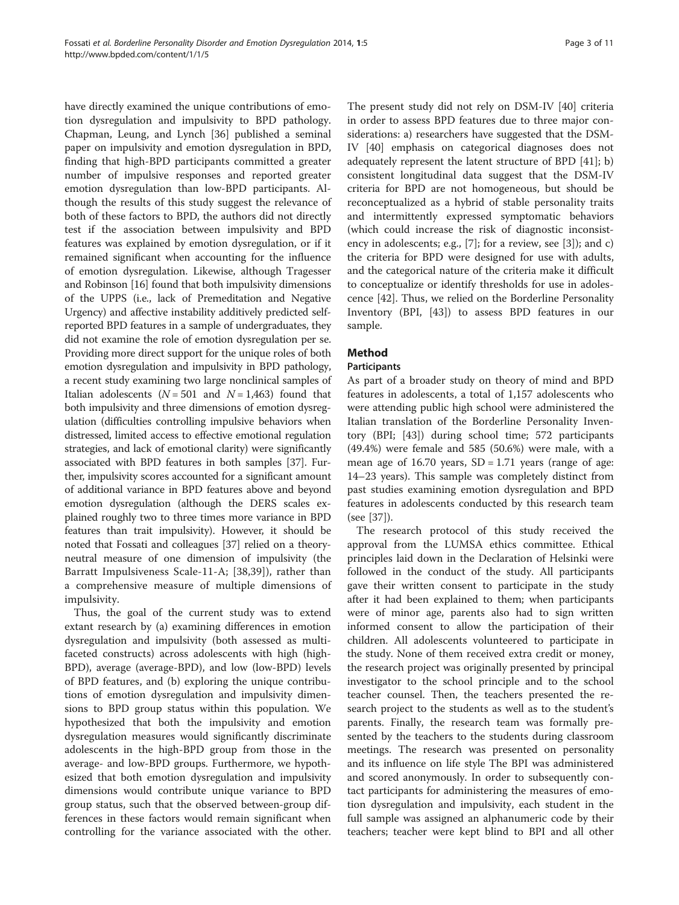have directly examined the unique contributions of emotion dysregulation and impulsivity to BPD pathology. Chapman, Leung, and Lynch [\[36](#page-10-0)] published a seminal paper on impulsivity and emotion dysregulation in BPD, finding that high-BPD participants committed a greater number of impulsive responses and reported greater emotion dysregulation than low-BPD participants. Although the results of this study suggest the relevance of both of these factors to BPD, the authors did not directly test if the association between impulsivity and BPD features was explained by emotion dysregulation, or if it remained significant when accounting for the influence of emotion dysregulation. Likewise, although Tragesser and Robinson [[16](#page-9-0)] found that both impulsivity dimensions of the UPPS (i.e., lack of Premeditation and Negative Urgency) and affective instability additively predicted selfreported BPD features in a sample of undergraduates, they did not examine the role of emotion dysregulation per se. Providing more direct support for the unique roles of both emotion dysregulation and impulsivity in BPD pathology, a recent study examining two large nonclinical samples of Italian adolescents ( $N = 501$  and  $N = 1,463$ ) found that both impulsivity and three dimensions of emotion dysregulation (difficulties controlling impulsive behaviors when distressed, limited access to effective emotional regulation strategies, and lack of emotional clarity) were significantly associated with BPD features in both samples [\[37](#page-10-0)]. Further, impulsivity scores accounted for a significant amount of additional variance in BPD features above and beyond emotion dysregulation (although the DERS scales explained roughly two to three times more variance in BPD features than trait impulsivity). However, it should be noted that Fossati and colleagues [\[37\]](#page-10-0) relied on a theoryneutral measure of one dimension of impulsivity (the Barratt Impulsiveness Scale-11-A; [[38,39\]](#page-10-0)), rather than a comprehensive measure of multiple dimensions of impulsivity.

Thus, the goal of the current study was to extend extant research by (a) examining differences in emotion dysregulation and impulsivity (both assessed as multifaceted constructs) across adolescents with high (high-BPD), average (average-BPD), and low (low-BPD) levels of BPD features, and (b) exploring the unique contributions of emotion dysregulation and impulsivity dimensions to BPD group status within this population. We hypothesized that both the impulsivity and emotion dysregulation measures would significantly discriminate adolescents in the high-BPD group from those in the average- and low-BPD groups. Furthermore, we hypothesized that both emotion dysregulation and impulsivity dimensions would contribute unique variance to BPD group status, such that the observed between-group differences in these factors would remain significant when controlling for the variance associated with the other.

The present study did not rely on DSM-IV [[40\]](#page-10-0) criteria in order to assess BPD features due to three major considerations: a) researchers have suggested that the DSM-IV [\[40](#page-10-0)] emphasis on categorical diagnoses does not adequately represent the latent structure of BPD [[41\]](#page-10-0); b) consistent longitudinal data suggest that the DSM-IV criteria for BPD are not homogeneous, but should be reconceptualized as a hybrid of stable personality traits and intermittently expressed symptomatic behaviors (which could increase the risk of diagnostic inconsistency in adolescents; e.g., [[7\]](#page-9-0); for a review, see [[3\]](#page-9-0)); and c) the criteria for BPD were designed for use with adults, and the categorical nature of the criteria make it difficult to conceptualize or identify thresholds for use in adolescence [[42\]](#page-10-0). Thus, we relied on the Borderline Personality Inventory (BPI, [[43\]](#page-10-0)) to assess BPD features in our sample.

## Method

## Participants

As part of a broader study on theory of mind and BPD features in adolescents, a total of 1,157 adolescents who were attending public high school were administered the Italian translation of the Borderline Personality Inventory (BPI; [\[43\]](#page-10-0)) during school time; 572 participants (49.4%) were female and 585 (50.6%) were male, with a mean age of  $16.70$  years,  $SD = 1.71$  years (range of age: 14–23 years). This sample was completely distinct from past studies examining emotion dysregulation and BPD features in adolescents conducted by this research team (see [[37](#page-10-0)]).

The research protocol of this study received the approval from the LUMSA ethics committee. Ethical principles laid down in the Declaration of Helsinki were followed in the conduct of the study. All participants gave their written consent to participate in the study after it had been explained to them; when participants were of minor age, parents also had to sign written informed consent to allow the participation of their children. All adolescents volunteered to participate in the study. None of them received extra credit or money, the research project was originally presented by principal investigator to the school principle and to the school teacher counsel. Then, the teachers presented the research project to the students as well as to the student's parents. Finally, the research team was formally presented by the teachers to the students during classroom meetings. The research was presented on personality and its influence on life style The BPI was administered and scored anonymously. In order to subsequently contact participants for administering the measures of emotion dysregulation and impulsivity, each student in the full sample was assigned an alphanumeric code by their teachers; teacher were kept blind to BPI and all other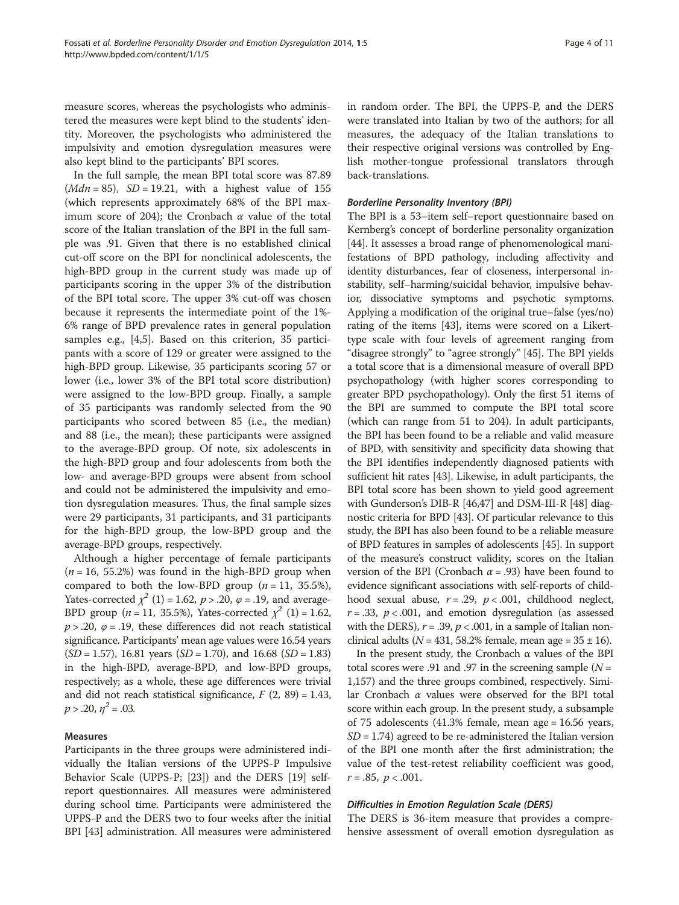measure scores, whereas the psychologists who administered the measures were kept blind to the students' identity. Moreover, the psychologists who administered the impulsivity and emotion dysregulation measures were also kept blind to the participants' BPI scores.

In the full sample, the mean BPI total score was 87.89  $(Mdn = 85)$ ,  $SD = 19.21$ , with a highest value of 155 (which represents approximately 68% of the BPI maximum score of 204); the Cronbach  $\alpha$  value of the total score of the Italian translation of the BPI in the full sample was .91. Given that there is no established clinical cut-off score on the BPI for nonclinical adolescents, the high-BPD group in the current study was made up of participants scoring in the upper 3% of the distribution of the BPI total score. The upper 3% cut-off was chosen because it represents the intermediate point of the 1%- 6% range of BPD prevalence rates in general population samples e.g., [[4,5\]](#page-9-0). Based on this criterion, 35 participants with a score of 129 or greater were assigned to the high-BPD group. Likewise, 35 participants scoring 57 or lower (i.e., lower 3% of the BPI total score distribution) were assigned to the low-BPD group. Finally, a sample of 35 participants was randomly selected from the 90 participants who scored between 85 (i.e., the median) and 88 (i.e., the mean); these participants were assigned to the average-BPD group. Of note, six adolescents in the high-BPD group and four adolescents from both the low- and average-BPD groups were absent from school and could not be administered the impulsivity and emotion dysregulation measures. Thus, the final sample sizes were 29 participants, 31 participants, and 31 participants for the high-BPD group, the low-BPD group and the average-BPD groups, respectively.

Although a higher percentage of female participants  $(n = 16, 55.2%)$  was found in the high-BPD group when compared to both the low-BPD group  $(n = 11, 35.5\%)$ , Yates-corrected  $\chi^2$  (1) = 1.62,  $p > .20$ ,  $\varphi = .19$ , and average-BPD group (*n* = 11, 35.5%), Yates-corrected  $\chi^2$  (1) = 1.62,  $p > .20$ ,  $\varphi = .19$ , these differences did not reach statistical significance. Participants' mean age values were 16.54 years  $(SD = 1.57)$ , 16.81 years  $(SD = 1.70)$ , and 16.68  $(SD = 1.83)$ in the high-BPD, average-BPD, and low-BPD groups, respectively; as a whole, these age differences were trivial and did not reach statistical significance,  $F(2, 89) = 1.43$ ,  $p > .20$ ,  $\eta^2 = .03$ .

#### Measures

Participants in the three groups were administered individually the Italian versions of the UPPS-P Impulsive Behavior Scale (UPPS-P; [\[23](#page-9-0)]) and the DERS [[19\]](#page-9-0) selfreport questionnaires. All measures were administered during school time. Participants were administered the UPPS-P and the DERS two to four weeks after the initial BPI [[43](#page-10-0)] administration. All measures were administered in random order. The BPI, the UPPS-P, and the DERS were translated into Italian by two of the authors; for all measures, the adequacy of the Italian translations to their respective original versions was controlled by English mother-tongue professional translators through back-translations.

#### Borderline Personality Inventory (BPI)

The BPI is a 53–item self–report questionnaire based on Kernberg's concept of borderline personality organization [[44](#page-10-0)]. It assesses a broad range of phenomenological manifestations of BPD pathology, including affectivity and identity disturbances, fear of closeness, interpersonal instability, self–harming/suicidal behavior, impulsive behavior, dissociative symptoms and psychotic symptoms. Applying a modification of the original true–false (yes/no) rating of the items [\[43\]](#page-10-0), items were scored on a Likerttype scale with four levels of agreement ranging from "disagree strongly" to "agree strongly" [\[45\]](#page-10-0). The BPI yields a total score that is a dimensional measure of overall BPD psychopathology (with higher scores corresponding to greater BPD psychopathology). Only the first 51 items of the BPI are summed to compute the BPI total score (which can range from 51 to 204). In adult participants, the BPI has been found to be a reliable and valid measure of BPD, with sensitivity and specificity data showing that the BPI identifies independently diagnosed patients with sufficient hit rates [[43](#page-10-0)]. Likewise, in adult participants, the BPI total score has been shown to yield good agreement with Gunderson's DIB-R [[46,47](#page-10-0)] and DSM-III-R [\[48\]](#page-10-0) diagnostic criteria for BPD [[43](#page-10-0)]. Of particular relevance to this study, the BPI has also been found to be a reliable measure of BPD features in samples of adolescents [[45](#page-10-0)]. In support of the measure's construct validity, scores on the Italian version of the BPI (Cronbach  $\alpha$  = .93) have been found to evidence significant associations with self-reports of childhood sexual abuse,  $r = .29$ ,  $p < .001$ , childhood neglect,  $r = .33$ ,  $p < .001$ , and emotion dysregulation (as assessed with the DERS),  $r = .39$ ,  $p < .001$ , in a sample of Italian nonclinical adults ( $N = 431, 58.2\%$  female, mean age =  $35 \pm 16$ ).

In the present study, the Cronbach  $\alpha$  values of the BPI total scores were .91 and .97 in the screening sample ( $N =$ 1,157) and the three groups combined, respectively. Similar Cronbach  $\alpha$  values were observed for the BPI total score within each group. In the present study, a subsample of 75 adolescents (41.3% female, mean age = 16.56 years,  $SD = 1.74$ ) agreed to be re-administered the Italian version of the BPI one month after the first administration; the value of the test-retest reliability coefficient was good,  $r = .85, p < .001.$ 

#### Difficulties in Emotion Regulation Scale (DERS)

The DERS is 36-item measure that provides a comprehensive assessment of overall emotion dysregulation as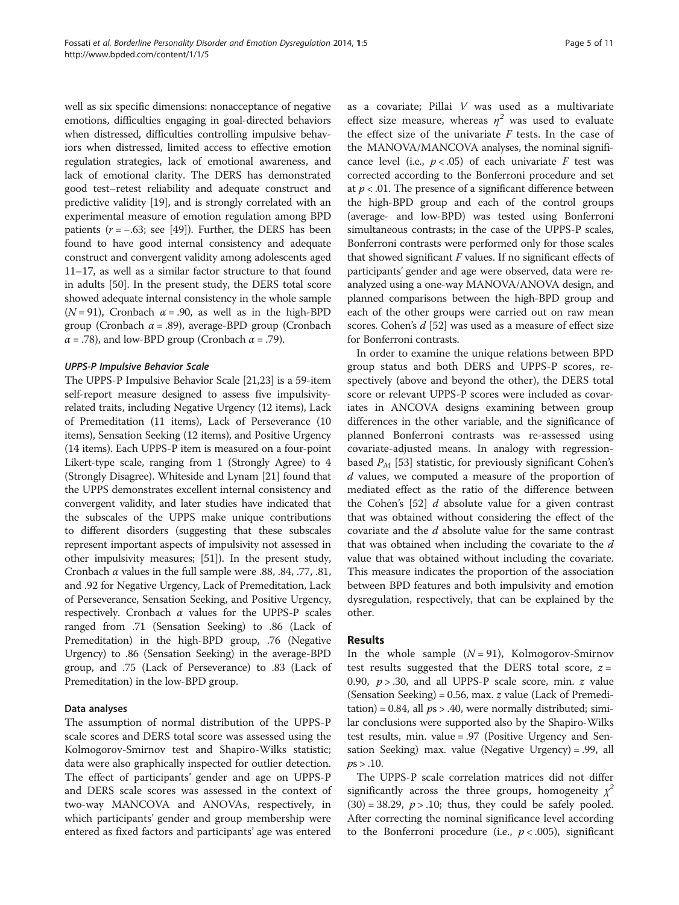well as six specific dimensions: nonacceptance of negative emotions, difficulties engaging in goal-directed behaviors when distressed, difficulties controlling impulsive behaviors when distressed, limited access to effective emotion regulation strategies, lack of emotional awareness, and lack of emotional clarity. The DERS has demonstrated good test–retest reliability and adequate construct and predictive validity [[19](#page-9-0)], and is strongly correlated with an experimental measure of emotion regulation among BPD patients ( $r = -.63$ ; see [[49](#page-10-0)]). Further, the DERS has been found to have good internal consistency and adequate construct and convergent validity among adolescents aged 11–17, as well as a similar factor structure to that found in adults [[50](#page-10-0)]. In the present study, the DERS total score showed adequate internal consistency in the whole sample  $(N = 91)$ , Cronbach  $\alpha = .90$ , as well as in the high-BPD group (Cronbach  $\alpha$  = .89), average-BPD group (Cronbach  $\alpha$  = .78), and low-BPD group (Cronbach  $\alpha$  = .79).

#### UPPS-P Impulsive Behavior Scale

The UPPS-P Impulsive Behavior Scale [\[21,23](#page-9-0)] is a 59-item self-report measure designed to assess five impulsivityrelated traits, including Negative Urgency (12 items), Lack of Premeditation (11 items), Lack of Perseverance (10 items), Sensation Seeking (12 items), and Positive Urgency (14 items). Each UPPS-P item is measured on a four-point Likert-type scale, ranging from 1 (Strongly Agree) to 4 (Strongly Disagree). Whiteside and Lynam [[21](#page-9-0)] found that the UPPS demonstrates excellent internal consistency and convergent validity, and later studies have indicated that the subscales of the UPPS make unique contributions to different disorders (suggesting that these subscales represent important aspects of impulsivity not assessed in other impulsivity measures; [[51\]](#page-10-0)). In the present study, Cronbach  $\alpha$  values in the full sample were .88, .84, .77, .81, and .92 for Negative Urgency, Lack of Premeditation, Lack of Perseverance, Sensation Seeking, and Positive Urgency, respectively. Cronbach  $\alpha$  values for the UPPS-P scales ranged from .71 (Sensation Seeking) to .86 (Lack of Premeditation) in the high-BPD group, .76 (Negative Urgency) to .86 (Sensation Seeking) in the average-BPD group, and .75 (Lack of Perseverance) to .83 (Lack of Premeditation) in the low-BPD group.

## Data analyses

The assumption of normal distribution of the UPPS-P scale scores and DERS total score was assessed using the Kolmogorov-Smirnov test and Shapiro-Wilks statistic; data were also graphically inspected for outlier detection. The effect of participants' gender and age on UPPS-P and DERS scale scores was assessed in the context of two-way MANCOVA and ANOVAs, respectively, in which participants' gender and group membership were entered as fixed factors and participants' age was entered

as a covariate; Pillai V was used as a multivariate effect size measure, whereas  $\eta^2$  was used to evaluate the effect size of the univariate  $F$  tests. In the case of the MANOVA/MANCOVA analyses, the nominal significance level (i.e.,  $p < .05$ ) of each univariate F test was corrected according to the Bonferroni procedure and set at  $p < .01$ . The presence of a significant difference between the high-BPD group and each of the control groups (average- and low-BPD) was tested using Bonferroni simultaneous contrasts; in the case of the UPPS-P scales, Bonferroni contrasts were performed only for those scales that showed significant  $F$  values. If no significant effects of participants' gender and age were observed, data were reanalyzed using a one-way MANOVA/ANOVA design, and planned comparisons between the high-BPD group and each of the other groups were carried out on raw mean scores. Cohen's d [[52](#page-10-0)] was used as a measure of effect size for Bonferroni contrasts.

In order to examine the unique relations between BPD group status and both DERS and UPPS-P scores, respectively (above and beyond the other), the DERS total score or relevant UPPS-P scores were included as covariates in ANCOVA designs examining between group differences in the other variable, and the significance of planned Bonferroni contrasts was re-assessed using covariate-adjusted means. In analogy with regressionbased  $P_M$  [\[53](#page-10-0)] statistic, for previously significant Cohen's d values, we computed a measure of the proportion of mediated effect as the ratio of the difference between the Cohen's  $[52]$  $[52]$  d absolute value for a given contrast that was obtained without considering the effect of the covariate and the d absolute value for the same contrast that was obtained when including the covariate to the  $d$ value that was obtained without including the covariate. This measure indicates the proportion of the association between BPD features and both impulsivity and emotion dysregulation, respectively, that can be explained by the other.

## Results

In the whole sample  $(N = 91)$ , Kolmogorov-Smirnov test results suggested that the DERS total score,  $z =$ 0.90,  $p > 0.30$ , and all UPPS-P scale score, min. z value (Sensation Seeking) = 0.56, max.  $z$  value (Lack of Premeditation) = 0.84, all  $ps > .40$ , were normally distributed; similar conclusions were supported also by the Shapiro-Wilks test results, min. value = .97 (Positive Urgency and Sensation Seeking) max. value (Negative Urgency) = .99, all  $ps > .10$ .

The UPPS-P scale correlation matrices did not differ significantly across the three groups, homogeneity  $\chi^2$  $(30) = 38.29$ ,  $p > .10$ ; thus, they could be safely pooled. After correcting the nominal significance level according to the Bonferroni procedure (i.e.,  $p < .005$ ), significant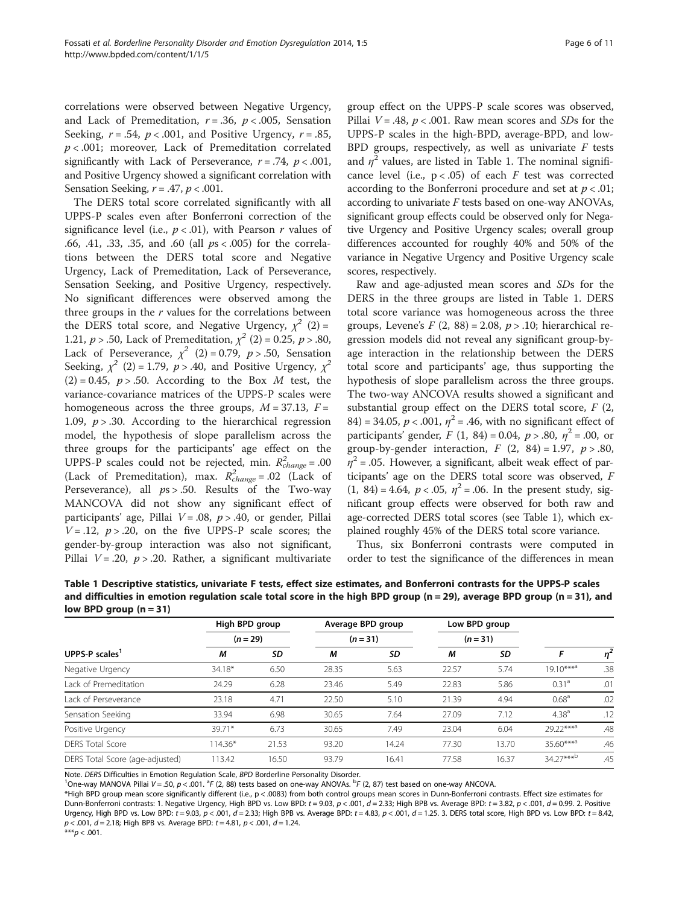<span id="page-5-0"></span>correlations were observed between Negative Urgency, and Lack of Premeditation,  $r = .36$ ,  $p < .005$ , Sensation Seeking,  $r = .54$ ,  $p < .001$ , and Positive Urgency,  $r = .85$ ,  $p < .001$ ; moreover, Lack of Premeditation correlated significantly with Lack of Perseverance,  $r = .74$ ,  $p < .001$ , and Positive Urgency showed a significant correlation with Sensation Seeking,  $r = .47$ ,  $p < .001$ .

The DERS total score correlated significantly with all UPPS-P scales even after Bonferroni correction of the significance level (i.e.,  $p < .01$ ), with Pearson r values of .66, .41, .33, .35, and .60 (all ps < .005) for the correlations between the DERS total score and Negative Urgency, Lack of Premeditation, Lack of Perseverance, Sensation Seeking, and Positive Urgency, respectively. No significant differences were observed among the three groups in the  $r$  values for the correlations between the DERS total score, and Negative Urgency,  $\chi^2$  (2) = 1.21,  $p > .50$ , Lack of Premeditation,  $\chi^2$  (2) = 0.25,  $p > .80$ , Lack of Perseverance,  $\chi^2$  (2) = 0.79, p > .50, Sensation Seeking,  $\chi^2$  (2) = 1.79, p > .40, and Positive Urgency,  $\chi^2$  $(2) = 0.45$ ,  $p > .50$ . According to the Box M test, the variance-covariance matrices of the UPPS-P scales were homogeneous across the three groups,  $M = 37.13$ ,  $F =$ 1.09,  $p > 0.30$ . According to the hierarchical regression model, the hypothesis of slope parallelism across the three groups for the participants' age effect on the UPPS-P scales could not be rejected, min.  $R_{change}^2 = .00$ (Lack of Premeditation), max.  $R_{change}^2 = .02$  (Lack of Perseverance), all  $ps > .50$ . Results of the Two-way MANCOVA did not show any significant effect of participants' age, Pillai  $V = .08$ ,  $p > .40$ , or gender, Pillai  $V = .12$ ,  $p > .20$ , on the five UPPS-P scale scores; the gender-by-group interaction was also not significant, Pillai  $V = .20$ ,  $p > .20$ . Rather, a significant multivariate

group effect on the UPPS-P scale scores was observed, Pillai  $V = .48$ ,  $p < .001$ . Raw mean scores and SDs for the UPPS-P scales in the high-BPD, average-BPD, and low-BPD groups, respectively, as well as univariate  $F$  tests and  $\eta^2$  values, are listed in Table 1. The nominal significance level (i.e.,  $p < .05$ ) of each F test was corrected according to the Bonferroni procedure and set at  $p < .01$ ; according to univariate  $F$  tests based on one-way ANOVAs, significant group effects could be observed only for Negative Urgency and Positive Urgency scales; overall group differences accounted for roughly 40% and 50% of the variance in Negative Urgency and Positive Urgency scale scores, respectively.

Raw and age-adjusted mean scores and SDs for the DERS in the three groups are listed in Table 1. DERS total score variance was homogeneous across the three groups, Levene's  $F(2, 88) = 2.08$ ,  $p > .10$ ; hierarchical regression models did not reveal any significant group-byage interaction in the relationship between the DERS total score and participants' age, thus supporting the hypothesis of slope parallelism across the three groups. The two-way ANCOVA results showed a significant and substantial group effect on the DERS total score,  $F(2, 1)$ 84) = 34.05,  $p < .001$ ,  $\eta^2 = .46$ , with no significant effect of participants' gender,  $F(1, 84) = 0.04$ ,  $p > .80$ ,  $\eta^2 = .00$ , or group-by-gender interaction,  $F(2, 84) = 1.97$ ,  $p > .80$ ,  $\eta^2$  = .05. However, a significant, albeit weak effect of participants' age on the DERS total score was observed, F  $(1, 84) = 4.64$ ,  $p < .05$ ,  $\eta^2 = .06$ . In the present study, significant group effects were observed for both raw and age-corrected DERS total scores (see Table 1), which explained roughly 45% of the DERS total score variance.

Thus, six Bonferroni contrasts were computed in order to test the significance of the differences in mean

Table 1 Descriptive statistics, univariate F tests, effect size estimates, and Bonferroni contrasts for the UPPS-P scales and difficulties in emotion regulation scale total score in the high BPD group ( $n = 29$ ), average BPD group ( $n = 31$ ), and low BPD group  $(n = 31)$ 

| UPPS-P scales <sup>1</sup>      | High BPD group<br>$(n = 29)$ |        | Average BPD group<br>$(n=31)$ |       | Low BPD group<br>$(n=31)$ |       |                         |              |
|---------------------------------|------------------------------|--------|-------------------------------|-------|---------------------------|-------|-------------------------|--------------|
|                                 |                              |        |                               |       |                           |       |                         |              |
|                                 | Negative Urgency             | 34.18* | 6.50                          | 28.35 | 5.63                      | 22.57 | 5.74                    | $19.10***^a$ |
| Lack of Premeditation           | 24.29                        | 6.28   | 23.46                         | 5.49  | 22.83                     | 5.86  | 0.31 <sup>a</sup>       | .01          |
| Lack of Perseverance            | 23.18                        | 4.71   | 22.50                         | 5.10  | 21.39                     | 4.94  | 0.68 <sup>a</sup>       | .02          |
| Sensation Seeking               | 33.94                        | 6.98   | 30.65                         | 7.64  | 27.09                     | 7.12  | 4.38 <sup>a</sup>       | .12          |
| Positive Urgency                | $39.71*$                     | 6.73   | 30.65                         | 7.49  | 23.04                     | 6.04  | 29.22***a               | .48          |
| <b>DERS Total Score</b>         | $114.36*$                    | 21.53  | 93.20                         | 14.24 | 77.30                     | 13.70 | $35.60***$ <sup>a</sup> | .46          |
| DERS Total Score (age-adjusted) | 113.42                       | 16.50  | 93.79                         | 16.41 | 77.58                     | 16.37 | $34.27***b$             | .45          |

Note. DERS Difficulties in Emotion Regulation Scale, BPD Borderline Personality Disorder. <sup>1</sup>

One-way MANOVA Pillai V = .50, p < .001. <sup>a</sup>F (2, 88) tests based on one-way ANOVAs. <sup>b</sup>F (2, 87) test based on one-way ANCOVA.

\*High BPD group mean score significantly different (i.e., p < .0083) from both control groups mean scores in Dunn-Bonferroni contrasts. Effect size estimates for Dunn-Bonferroni contrasts: 1. Negative Urgency, High BPD vs. Low BPD:  $t = 9.03$ ,  $p < .001$ ,  $d = 2.33$ ; High BPB vs. Average BPD:  $t = 3.82$ ,  $p < .001$ ,  $d = 0.99$ . 2. Positive Urgency, High BPD vs. Low BPD:  $t = 9.03$ ,  $p < .001$ ,  $d = 2.33$ ; High BPB vs. Average BPD:  $t = 4.83$ ,  $p < .001$ ,  $d = 1.25$ . 3. DERS total score, High BPD vs. Low BPD:  $t = 8.42$ ,  $p < .001$ ,  $d = 2.18$ ; High BPB vs. Average BPD:  $t = 4.81$ ,  $p < .001$ ,  $d = 1.24$ .

 $***p$  < .001.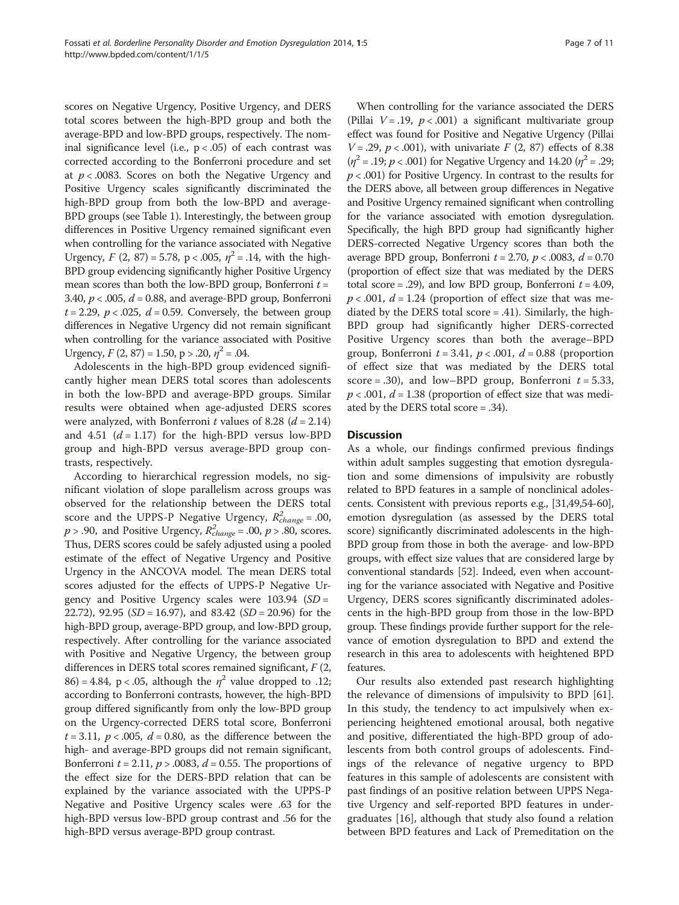scores on Negative Urgency, Positive Urgency, and DERS total scores between the high-BPD group and both the average-BPD and low-BPD groups, respectively. The nominal significance level (i.e.,  $p < .05$ ) of each contrast was corrected according to the Bonferroni procedure and set at  $p < .0083$ . Scores on both the Negative Urgency and Positive Urgency scales significantly discriminated the high-BPD group from both the low-BPD and average-BPD groups (see Table [1\)](#page-5-0). Interestingly, the between group differences in Positive Urgency remained significant even when controlling for the variance associated with Negative Urgency,  $F(2, 87) = 5.78$ ,  $p < .005$ ,  $\eta^2 = .14$ , with the high-BPD group evidencing significantly higher Positive Urgency mean scores than both the low-BPD group, Bonferroni  $t =$ 3.40,  $p < .005$ ,  $d = 0.88$ , and average-BPD group, Bonferroni  $t = 2.29$ ,  $p < .025$ ,  $d = 0.59$ . Conversely, the between group differences in Negative Urgency did not remain significant when controlling for the variance associated with Positive Urgency,  $F(2, 87) = 1.50$ ,  $p > .20$ ,  $\eta^2 = .04$ .

Adolescents in the high-BPD group evidenced significantly higher mean DERS total scores than adolescents in both the low-BPD and average-BPD groups. Similar results were obtained when age-adjusted DERS scores were analyzed, with Bonferroni t values of 8.28 ( $d = 2.14$ ) and 4.51  $(d = 1.17)$  for the high-BPD versus low-BPD group and high-BPD versus average-BPD group contrasts, respectively.

According to hierarchical regression models, no significant violation of slope parallelism across groups was observed for the relationship between the DERS total score and the UPPS-P Negative Urgency,  $R_{change}^2 = .00$ ,  $p > .90$ , and Positive Urgency,  $R_{change}^2 = .00$ ,  $p > .80$ , scores. Thus, DERS scores could be safely adjusted using a pooled estimate of the effect of Negative Urgency and Positive Urgency in the ANCOVA model. The mean DERS total scores adjusted for the effects of UPPS-P Negative Urgency and Positive Urgency scales were  $103.94$  (SD = 22.72), 92.95 ( $SD = 16.97$ ), and 83.42 ( $SD = 20.96$ ) for the high-BPD group, average-BPD group, and low-BPD group, respectively. After controlling for the variance associated with Positive and Negative Urgency, the between group differences in DERS total scores remained significant,  $F(2, \theta)$ 86) = 4.84, p < .05, although the  $\eta^2$  value dropped to .12; according to Bonferroni contrasts, however, the high-BPD group differed significantly from only the low-BPD group on the Urgency-corrected DERS total score, Bonferroni  $t = 3.11$ ,  $p < .005$ ,  $d = 0.80$ , as the difference between the high- and average-BPD groups did not remain significant, Bonferroni  $t = 2.11$ ,  $p > .0083$ ,  $d = 0.55$ . The proportions of the effect size for the DERS-BPD relation that can be explained by the variance associated with the UPPS-P Negative and Positive Urgency scales were .63 for the high-BPD versus low-BPD group contrast and .56 for the high-BPD versus average-BPD group contrast.

When controlling for the variance associated the DERS (Pillai  $V = .19$ ,  $p < .001$ ) a significant multivariate group effect was found for Positive and Negative Urgency (Pillai  $V = .29$ ,  $p < .001$ ), with univariate  $F(2, 87)$  effects of 8.38  $(\eta^2 = .19; p < .001)$  for Negative Urgency and 14.20 ( $\eta^2 = .29;$  $p < .001$ ) for Positive Urgency. In contrast to the results for the DERS above, all between group differences in Negative and Positive Urgency remained significant when controlling for the variance associated with emotion dysregulation. Specifically, the high BPD group had significantly higher DERS-corrected Negative Urgency scores than both the average BPD group, Bonferroni  $t = 2.70$ ,  $p < .0083$ ,  $d = 0.70$ (proportion of effect size that was mediated by the DERS total score = .29), and low BPD group, Bonferroni  $t = 4.09$ ,  $p < .001$ ,  $d = 1.24$  (proportion of effect size that was mediated by the DERS total score = .41). Similarly, the high-BPD group had significantly higher DERS-corrected Positive Urgency scores than both the average–BPD group, Bonferroni  $t = 3.41$ ,  $p < .001$ ,  $d = 0.88$  (proportion of effect size that was mediated by the DERS total score = .30), and low–BPD group, Bonferroni  $t = 5.33$ ,  $p < .001$ ,  $d = 1.38$  (proportion of effect size that was mediated by the DERS total score = .34).

## **Discussion**

As a whole, our findings confirmed previous findings within adult samples suggesting that emotion dysregulation and some dimensions of impulsivity are robustly related to BPD features in a sample of nonclinical adolescents. Consistent with previous reports e.g., [\[31,](#page-9-0)[49,54](#page-10-0)-[60](#page-10-0)], emotion dysregulation (as assessed by the DERS total score) significantly discriminated adolescents in the high-BPD group from those in both the average- and low-BPD groups, with effect size values that are considered large by conventional standards [[52](#page-10-0)]. Indeed, even when accounting for the variance associated with Negative and Positive Urgency, DERS scores significantly discriminated adolescents in the high-BPD group from those in the low-BPD group. These findings provide further support for the relevance of emotion dysregulation to BPD and extend the research in this area to adolescents with heightened BPD features.

Our results also extended past research highlighting the relevance of dimensions of impulsivity to BPD [\[61](#page-10-0)]. In this study, the tendency to act impulsively when experiencing heightened emotional arousal, both negative and positive, differentiated the high-BPD group of adolescents from both control groups of adolescents. Findings of the relevance of negative urgency to BPD features in this sample of adolescents are consistent with past findings of an positive relation between UPPS Negative Urgency and self-reported BPD features in undergraduates [\[16](#page-9-0)], although that study also found a relation between BPD features and Lack of Premeditation on the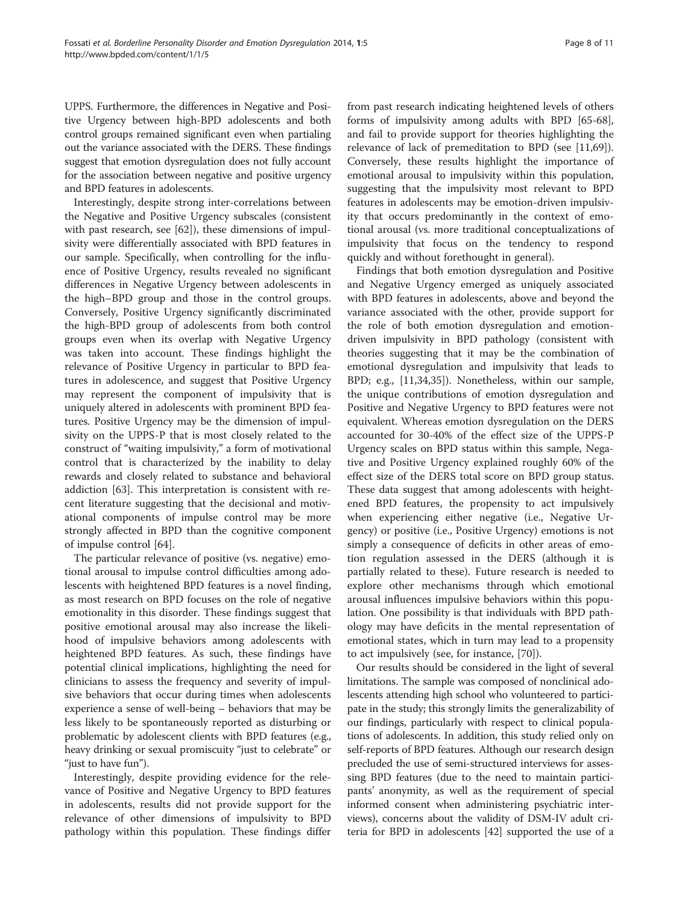UPPS. Furthermore, the differences in Negative and Positive Urgency between high-BPD adolescents and both control groups remained significant even when partialing out the variance associated with the DERS. These findings suggest that emotion dysregulation does not fully account for the association between negative and positive urgency and BPD features in adolescents.

Interestingly, despite strong inter-correlations between the Negative and Positive Urgency subscales (consistent with past research, see [\[62](#page-10-0)]), these dimensions of impulsivity were differentially associated with BPD features in our sample. Specifically, when controlling for the influence of Positive Urgency, results revealed no significant differences in Negative Urgency between adolescents in the high–BPD group and those in the control groups. Conversely, Positive Urgency significantly discriminated the high-BPD group of adolescents from both control groups even when its overlap with Negative Urgency was taken into account. These findings highlight the relevance of Positive Urgency in particular to BPD features in adolescence, and suggest that Positive Urgency may represent the component of impulsivity that is uniquely altered in adolescents with prominent BPD features. Positive Urgency may be the dimension of impulsivity on the UPPS-P that is most closely related to the construct of "waiting impulsivity," a form of motivational control that is characterized by the inability to delay rewards and closely related to substance and behavioral addiction [[63](#page-10-0)]. This interpretation is consistent with recent literature suggesting that the decisional and motivational components of impulse control may be more strongly affected in BPD than the cognitive component of impulse control [\[64](#page-10-0)].

The particular relevance of positive (vs. negative) emotional arousal to impulse control difficulties among adolescents with heightened BPD features is a novel finding, as most research on BPD focuses on the role of negative emotionality in this disorder. These findings suggest that positive emotional arousal may also increase the likelihood of impulsive behaviors among adolescents with heightened BPD features. As such, these findings have potential clinical implications, highlighting the need for clinicians to assess the frequency and severity of impulsive behaviors that occur during times when adolescents experience a sense of well-being – behaviors that may be less likely to be spontaneously reported as disturbing or problematic by adolescent clients with BPD features (e.g., heavy drinking or sexual promiscuity "just to celebrate" or "just to have fun").

Interestingly, despite providing evidence for the relevance of Positive and Negative Urgency to BPD features in adolescents, results did not provide support for the relevance of other dimensions of impulsivity to BPD pathology within this population. These findings differ from past research indicating heightened levels of others forms of impulsivity among adults with BPD [\[65-68](#page-10-0)], and fail to provide support for theories highlighting the relevance of lack of premeditation to BPD (see [\[11](#page-9-0)[,69](#page-10-0)]). Conversely, these results highlight the importance of emotional arousal to impulsivity within this population, suggesting that the impulsivity most relevant to BPD features in adolescents may be emotion-driven impulsivity that occurs predominantly in the context of emotional arousal (vs. more traditional conceptualizations of impulsivity that focus on the tendency to respond quickly and without forethought in general).

Findings that both emotion dysregulation and Positive and Negative Urgency emerged as uniquely associated with BPD features in adolescents, above and beyond the variance associated with the other, provide support for the role of both emotion dysregulation and emotiondriven impulsivity in BPD pathology (consistent with theories suggesting that it may be the combination of emotional dysregulation and impulsivity that leads to BPD; e.g., [[11,34,](#page-9-0)[35\]](#page-10-0)). Nonetheless, within our sample, the unique contributions of emotion dysregulation and Positive and Negative Urgency to BPD features were not equivalent. Whereas emotion dysregulation on the DERS accounted for 30-40% of the effect size of the UPPS-P Urgency scales on BPD status within this sample, Negative and Positive Urgency explained roughly 60% of the effect size of the DERS total score on BPD group status. These data suggest that among adolescents with heightened BPD features, the propensity to act impulsively when experiencing either negative (i.e., Negative Urgency) or positive (i.e., Positive Urgency) emotions is not simply a consequence of deficits in other areas of emotion regulation assessed in the DERS (although it is partially related to these). Future research is needed to explore other mechanisms through which emotional arousal influences impulsive behaviors within this population. One possibility is that individuals with BPD pathology may have deficits in the mental representation of emotional states, which in turn may lead to a propensity to act impulsively (see, for instance, [\[70\]](#page-10-0)).

Our results should be considered in the light of several limitations. The sample was composed of nonclinical adolescents attending high school who volunteered to participate in the study; this strongly limits the generalizability of our findings, particularly with respect to clinical populations of adolescents. In addition, this study relied only on self-reports of BPD features. Although our research design precluded the use of semi-structured interviews for assessing BPD features (due to the need to maintain participants' anonymity, as well as the requirement of special informed consent when administering psychiatric interviews), concerns about the validity of DSM-IV adult criteria for BPD in adolescents [\[42\]](#page-10-0) supported the use of a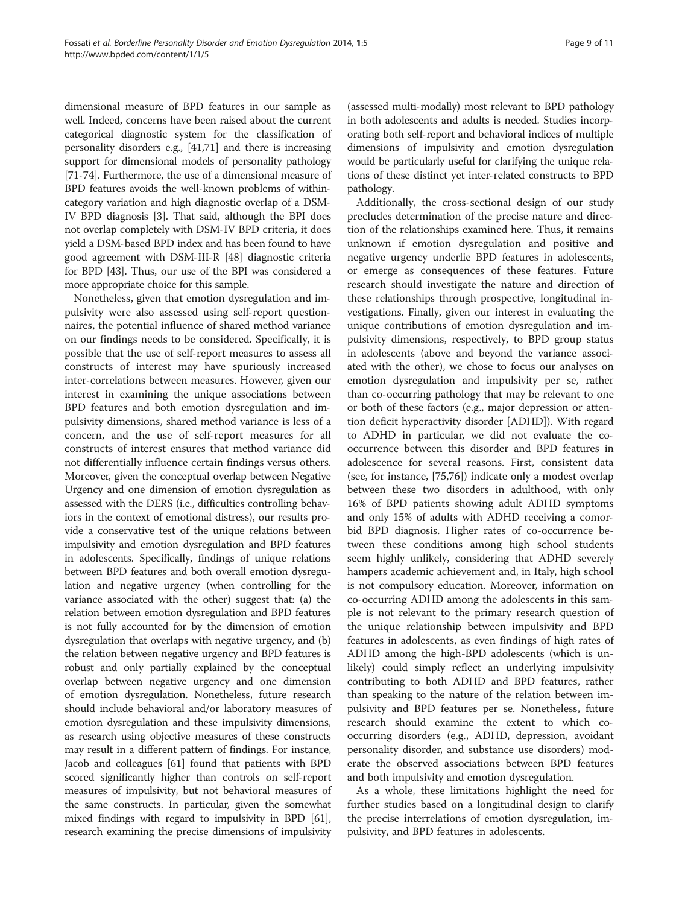dimensional measure of BPD features in our sample as well. Indeed, concerns have been raised about the current categorical diagnostic system for the classification of personality disorders e.g., [[41,71\]](#page-10-0) and there is increasing support for dimensional models of personality pathology [[71](#page-10-0)-[74\]](#page-10-0). Furthermore, the use of a dimensional measure of BPD features avoids the well-known problems of withincategory variation and high diagnostic overlap of a DSM-IV BPD diagnosis [[3](#page-9-0)]. That said, although the BPI does not overlap completely with DSM-IV BPD criteria, it does yield a DSM-based BPD index and has been found to have good agreement with DSM-III-R [\[48\]](#page-10-0) diagnostic criteria for BPD [[43](#page-10-0)]. Thus, our use of the BPI was considered a

more appropriate choice for this sample. Nonetheless, given that emotion dysregulation and impulsivity were also assessed using self-report questionnaires, the potential influence of shared method variance on our findings needs to be considered. Specifically, it is possible that the use of self-report measures to assess all constructs of interest may have spuriously increased inter-correlations between measures. However, given our interest in examining the unique associations between BPD features and both emotion dysregulation and impulsivity dimensions, shared method variance is less of a concern, and the use of self-report measures for all constructs of interest ensures that method variance did not differentially influence certain findings versus others. Moreover, given the conceptual overlap between Negative Urgency and one dimension of emotion dysregulation as assessed with the DERS (i.e., difficulties controlling behaviors in the context of emotional distress), our results provide a conservative test of the unique relations between impulsivity and emotion dysregulation and BPD features in adolescents. Specifically, findings of unique relations between BPD features and both overall emotion dysregulation and negative urgency (when controlling for the variance associated with the other) suggest that: (a) the relation between emotion dysregulation and BPD features is not fully accounted for by the dimension of emotion dysregulation that overlaps with negative urgency, and (b) the relation between negative urgency and BPD features is robust and only partially explained by the conceptual overlap between negative urgency and one dimension of emotion dysregulation. Nonetheless, future research should include behavioral and/or laboratory measures of emotion dysregulation and these impulsivity dimensions, as research using objective measures of these constructs may result in a different pattern of findings. For instance, Jacob and colleagues [[61](#page-10-0)] found that patients with BPD scored significantly higher than controls on self-report measures of impulsivity, but not behavioral measures of the same constructs. In particular, given the somewhat mixed findings with regard to impulsivity in BPD [[61](#page-10-0)], research examining the precise dimensions of impulsivity

(assessed multi-modally) most relevant to BPD pathology in both adolescents and adults is needed. Studies incorporating both self-report and behavioral indices of multiple dimensions of impulsivity and emotion dysregulation would be particularly useful for clarifying the unique relations of these distinct yet inter-related constructs to BPD pathology.

Additionally, the cross-sectional design of our study precludes determination of the precise nature and direction of the relationships examined here. Thus, it remains unknown if emotion dysregulation and positive and negative urgency underlie BPD features in adolescents, or emerge as consequences of these features. Future research should investigate the nature and direction of these relationships through prospective, longitudinal investigations. Finally, given our interest in evaluating the unique contributions of emotion dysregulation and impulsivity dimensions, respectively, to BPD group status in adolescents (above and beyond the variance associated with the other), we chose to focus our analyses on emotion dysregulation and impulsivity per se, rather than co-occurring pathology that may be relevant to one or both of these factors (e.g., major depression or attention deficit hyperactivity disorder [ADHD]). With regard to ADHD in particular, we did not evaluate the cooccurrence between this disorder and BPD features in adolescence for several reasons. First, consistent data (see, for instance, [[75,76\]](#page-10-0)) indicate only a modest overlap between these two disorders in adulthood, with only 16% of BPD patients showing adult ADHD symptoms and only 15% of adults with ADHD receiving a comorbid BPD diagnosis. Higher rates of co-occurrence between these conditions among high school students seem highly unlikely, considering that ADHD severely hampers academic achievement and, in Italy, high school is not compulsory education. Moreover, information on co-occurring ADHD among the adolescents in this sample is not relevant to the primary research question of the unique relationship between impulsivity and BPD features in adolescents, as even findings of high rates of ADHD among the high-BPD adolescents (which is unlikely) could simply reflect an underlying impulsivity contributing to both ADHD and BPD features, rather than speaking to the nature of the relation between impulsivity and BPD features per se. Nonetheless, future research should examine the extent to which cooccurring disorders (e.g., ADHD, depression, avoidant personality disorder, and substance use disorders) moderate the observed associations between BPD features and both impulsivity and emotion dysregulation.

As a whole, these limitations highlight the need for further studies based on a longitudinal design to clarify the precise interrelations of emotion dysregulation, impulsivity, and BPD features in adolescents.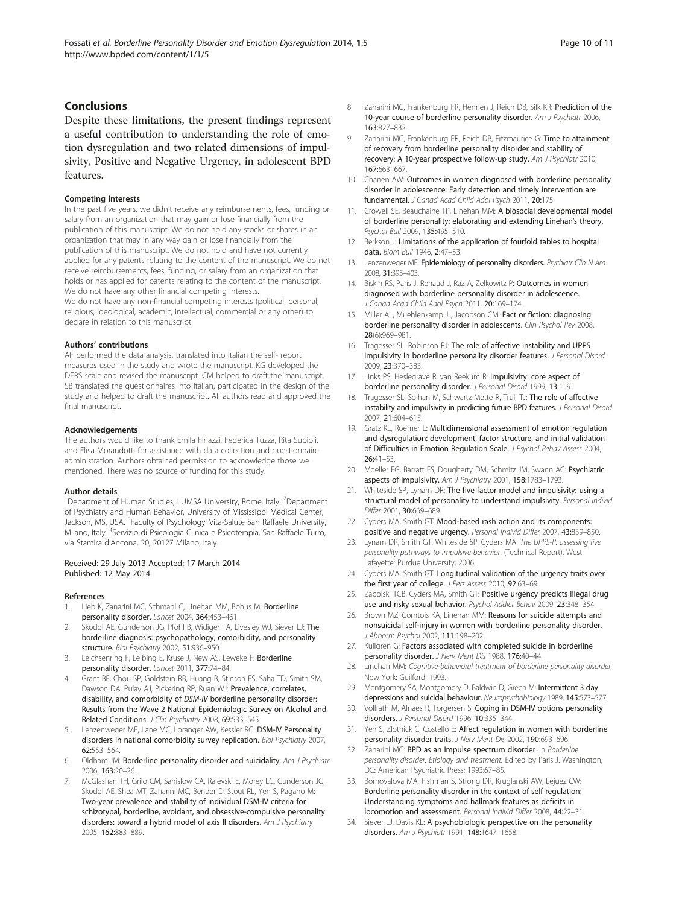#### <span id="page-9-0"></span>Conclusions

Despite these limitations, the present findings represent a useful contribution to understanding the role of emotion dysregulation and two related dimensions of impulsivity, Positive and Negative Urgency, in adolescent BPD features.

#### Competing interests

In the past five years, we didn't receive any reimbursements, fees, funding or salary from an organization that may gain or lose financially from the publication of this manuscript. We do not hold any stocks or shares in an organization that may in any way gain or lose financially from the publication of this manuscript. We do not hold and have not currently applied for any patents relating to the content of the manuscript. We do not receive reimbursements, fees, funding, or salary from an organization that holds or has applied for patents relating to the content of the manuscript. We do not have any other financial competing interests. We do not have any non-financial competing interests (political, personal, religious, ideological, academic, intellectual, commercial or any other) to declare in relation to this manuscript.

#### Authors' contributions

AF performed the data analysis, translated into Italian the self- report measures used in the study and wrote the manuscript. KG developed the DERS scale and revised the manuscript. CM helped to draft the manuscript. SB translated the questionnaires into Italian, participated in the design of the study and helped to draft the manuscript. All authors read and approved the final manuscript.

#### Acknowledgements

The authors would like to thank Emila Finazzi, Federica Tuzza, Rita Subioli, and Elisa Morandotti for assistance with data collection and questionnaire administration. Authors obtained permission to acknowledge those we mentioned. There was no source of funding for this study.

#### Author details

<sup>1</sup>Department of Human Studies, LUMSA University, Rome, Italy. <sup>2</sup>Department of Psychiatry and Human Behavior, University of Mississippi Medical Center, Jackson, MS, USA. <sup>3</sup>Faculty of Psychology, Vita-Salute San Raffaele University, Milano, Italy. <sup>4</sup>Servizio di Psicologia Clinica e Psicoterapia, San Raffaele Turro, via Stamira d'Ancona, 20, 20127 Milano, Italy.

#### Received: 29 July 2013 Accepted: 17 March 2014 Published: 12 May 2014

#### References

- 1. Lieb K, Zanarini MC, Schmahl C, Linehan MM, Bohus M: Borderline personality disorder. Lancet 2004, 364:453–461.
- 2. Skodol AE, Gunderson JG, Pfohl B, Widiger TA, Livesley WJ, Siever LJ: The borderline diagnosis: psychopathology, comorbidity, and personality structure. Biol Psychiatry 2002, 51:936-950.
- 3. Leichsenring F, Leibing E, Kruse J, New AS, Leweke F: Borderline personality disorder. Lancet 2011, 377:74–84.
- 4. Grant BF, Chou SP, Goldstein RB, Huang B, Stinson FS, Saha TD, Smith SM, Dawson DA, Pulay AJ, Pickering RP, Ruan WJ: Prevalence, correlates, disability, and comorbidity of DSM-IV borderline personality disorder: Results from the Wave 2 National Epidemiologic Survey on Alcohol and Related Conditions. J Clin Psychiatry 2008, 69:533-545.
- Lenzenweger MF, Lane MC, Loranger AW, Kessler RC: DSM-IV Personality disorders in national comorbidity survey replication. Biol Psychiatry 2007, 62:553–564.
- 6. Oldham JM: Borderline personality disorder and suicidality. Am J Psychiatr 2006, 163:20–26.
- 7. McGlashan TH, Grilo CM, Sanislow CA, Ralevski E, Morey LC, Gunderson JG, Skodol AE, Shea MT, Zanarini MC, Bender D, Stout RL, Yen S, Pagano M: Two-year prevalence and stability of individual DSM-IV criteria for schizotypal, borderline, avoidant, and obsessive-compulsive personality disorders: toward a hybrid model of axis II disorders. Am J Psychiatry 2005, 162:883–889.
- 8. Zanarini MC, Frankenburg FR, Hennen J, Reich DB, Silk KR: Prediction of the 10-year course of borderline personality disorder. Am J Psychiatr 2006, 163:827–832.
- 9. Zanarini MC, Frankenburg FR, Reich DB, Fitzmaurice G: Time to attainment of recovery from borderline personality disorder and stability of recovery: A 10-year prospective follow-up study. Am J Psychiatr 2010, 167:663–667.
- 10. Chanen AW: Outcomes in women diagnosed with borderline personality disorder in adolescence: Early detection and timely intervention are fundamental. J Canad Acad Child Adol Psych 2011, 20:175.
- 11. Crowell SE, Beauchaine TP, Linehan MM: A biosocial developmental model of borderline personality: elaborating and extending Linehan's theory. Psychol Bull 2009, 135:495–510.
- 12. Berkson J: Limitations of the application of fourfold tables to hospital data. Biom Bull 1946, 2:47–53.
- 13. Lenzenweger MF: Epidemiology of personality disorders. Psychiatr Clin N Am 2008, 31:395–403.
- 14. Biskin RS, Paris J, Renaud J, Raz A, Zelkowitz P: Outcomes in women diagnosed with borderline personality disorder in adolescence. J Canad Acad Child Adol Psych 2011, 20:169–174.
- 15. Miller AL, Muehlenkamp JJ, Jacobson CM: Fact or fiction: diagnosing borderline personality disorder in adolescents. Clin Psychol Rev 2008, 28(6):969–981.
- 16. Tragesser SL, Robinson RJ: The role of affective instability and UPPS impulsivity in borderline personality disorder features. J Personal Disord 2009, 23:370–383.
- 17. Links PS, Heslegrave R, van Reekum R: Impulsivity: core aspect of borderline personality disorder. J Personal Disord 1999, 13:1-9.
- 18. Tragesser SL, Solhan M, Schwartz-Mette R, Trull TJ: The role of affective instability and impulsivity in predicting future BPD features. J Personal Disord 2007, 21:604–615.
- 19. Gratz KL, Roemer L: Multidimensional assessment of emotion regulation and dysregulation: development, factor structure, and initial validation of Difficulties in Emotion Regulation Scale. J Psychol Behav Assess 2004, 26:41–53.
- 20. Moeller FG, Barratt ES, Dougherty DM, Schmitz JM, Swann AC: Psychiatric aspects of impulsivity. Am J Psychiatry 2001, 158:1783–1793.
- 21. Whiteside SP, Lynam DR: The five factor model and impulsivity: using a structural model of personality to understand impulsivity. Personal Individ Differ 2001, 30:669–689.
- 22. Cyders MA, Smith GT: Mood-based rash action and its components: positive and negative urgency. Personal Individ Differ 2007, 43:839-850.
- 23. Lynam DR, Smith GT, Whiteside SP, Cyders MA: The UPPS-P: assessing five personality pathways to impulsive behavior, (Technical Report). West Lafayette: Purdue University; 2006.
- 24. Cyders MA, Smith GT: Longitudinal validation of the urgency traits over the first year of college. J Pers Assess 2010, 92:63-69.
- 25. Zapolski TCB, Cyders MA, Smith GT: Positive urgency predicts illegal drug use and risky sexual behavior. Psychol Addict Behav 2009, 23:348-354.
- 26. Brown MZ, Comtois KA, Linehan MM: Reasons for suicide attempts and nonsuicidal self-injury in women with borderline personality disorder. J Abnorm Psychol 2002, 111:198–202.
- 27. Kullgren G: Factors associated with completed suicide in borderline personality disorder. J Nerv Ment Dis 1988, 176:40–44.
- 28. Linehan MM: Cognitive-behavioral treatment of borderline personality disorder. New York: Guilford; 1993.
- 29. Montgomery SA, Montgomery D, Baldwin D, Green M: Intermittent 3 day depressions and suicidal behaviour. Neuropsychobiology 1989, 145:573–577.
- 30. Vollrath M, Alnaes R, Torgersen S: Coping in DSM-IV options personality disorders. J Personal Disord 1996, 10:335–344.
- 31. Yen S, Zlotnick C, Costello E: Affect regulation in women with borderline personality disorder traits. J Nerv Ment Dis 2002, 190:693–696.
- 32. Zanarini MC: BPD as an Impulse spectrum disorder. In Borderline personality disorder: Etiology and treatment. Edited by Paris J. Washington, DC: American Psychiatric Press; 1993:67–85.
- 33. Bornovalova MA, Fishman S, Strong DR, Kruglanski AW, Lejuez CW: Borderline personality disorder in the context of self regulation: Understanding symptoms and hallmark features as deficits in locomotion and assessment. Personal Individ Differ 2008, 44:22–31.
- 34. Siever LJ, Davis KL: A psychobiologic perspective on the personality disorders. Am J Psychiatr 1991, 148:1647–1658.